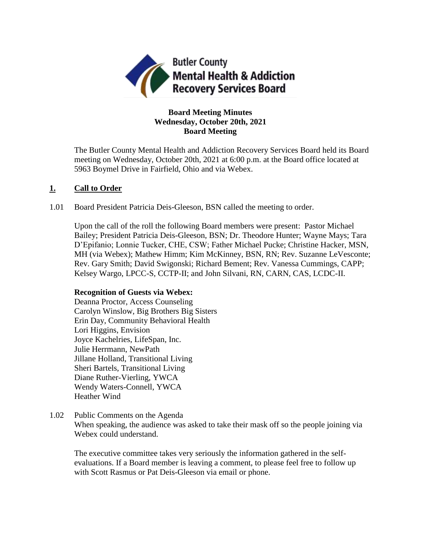

# **Board Meeting Minutes Wednesday, October 20th, 2021 Board Meeting**

The Butler County Mental Health and Addiction Recovery Services Board held its Board meeting on Wednesday, October 20th, 2021 at 6:00 p.m. at the Board office located at 5963 Boymel Drive in Fairfield, Ohio and via Webex.

## **1. Call to Order**

1.01 Board President Patricia Deis-Gleeson, BSN called the meeting to order.

Upon the call of the roll the following Board members were present: Pastor Michael Bailey; President Patricia Deis-Gleeson, BSN; Dr. Theodore Hunter; Wayne Mays; Tara D'Epifanio; Lonnie Tucker, CHE, CSW; Father Michael Pucke; Christine Hacker, MSN, MH (via Webex); Mathew Himm; Kim McKinney, BSN, RN; Rev. Suzanne LeVesconte; Rev. Gary Smith; David Swigonski; Richard Bement; Rev. Vanessa Cummings, CAPP; Kelsey Wargo, LPCC-S, CCTP-II; and John Silvani, RN, CARN, CAS, LCDC-II.

### **Recognition of Guests via Webex:**

Deanna Proctor, Access Counseling Carolyn Winslow, Big Brothers Big Sisters Erin Day, Community Behavioral Health Lori Higgins, Envision Joyce Kachelries, LifeSpan, Inc. Julie Herrmann, NewPath Jillane Holland, Transitional Living Sheri Bartels, Transitional Living Diane Ruther-Vierling, YWCA Wendy Waters-Connell, YWCA Heather Wind

1.02 Public Comments on the Agenda

When speaking, the audience was asked to take their mask off so the people joining via Webex could understand.

The executive committee takes very seriously the information gathered in the selfevaluations. If a Board member is leaving a comment, to please feel free to follow up with Scott Rasmus or Pat Deis-Gleeson via email or phone.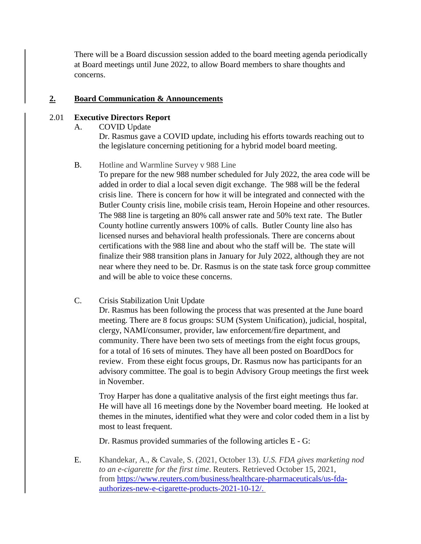There will be a Board discussion session added to the board meeting agenda periodically at Board meetings until June 2022, to allow Board members to share thoughts and concerns.

## **2. Board Communication & Announcements**

### 2.01 **Executive Directors Report**

A. COVID Update

Dr. Rasmus gave a COVID update, including his efforts towards reaching out to the legislature concerning petitioning for a hybrid model board meeting.

## B. Hotline and Warmline Survey v 988 Line

To prepare for the new 988 number scheduled for July 2022, the area code will be added in order to dial a local seven digit exchange. The 988 will be the federal crisis line. There is concern for how it will be integrated and connected with the Butler County crisis line, mobile crisis team, Heroin Hopeine and other resources. The 988 line is targeting an 80% call answer rate and 50% text rate. The Butler County hotline currently answers 100% of calls. Butler County line also has licensed nurses and behavioral health professionals. There are concerns about certifications with the 988 line and about who the staff will be. The state will finalize their 988 transition plans in January for July 2022, although they are not near where they need to be. Dr. Rasmus is on the state task force group committee and will be able to voice these concerns.

# C. Crisis Stabilization Unit Update

Dr. Rasmus has been following the process that was presented at the June board meeting. There are 8 focus groups: SUM (System Unification), judicial, hospital, clergy, NAMI/consumer, provider, law enforcement/fire department, and community. There have been two sets of meetings from the eight focus groups, for a total of 16 sets of minutes. They have all been posted on BoardDocs for review. From these eight focus groups, Dr. Rasmus now has participants for an advisory committee. The goal is to begin Advisory Group meetings the first week in November.

Troy Harper has done a qualitative analysis of the first eight meetings thus far. He will have all 16 meetings done by the November board meeting. He looked at themes in the minutes, identified what they were and color coded them in a list by most to least frequent.

Dr. Rasmus provided summaries of the following articles E - G:

E. Khandekar, A., & Cavale, S. (2021, October 13). *U.S. FDA gives marketing nod to an e-cigarette for the first time*. Reuters. Retrieved October 15, 2021, from [https://www.reuters.com/business/healthcare-pharmaceuticals/us-fda](https://www.reuters.com/business/healthcare-pharmaceuticals/us-fda-authorizes-new-e-cigarette-products-2021-10-12/.%C2%A0)[authorizes-new-e-cigarette-products-2021-10-12/.](https://www.reuters.com/business/healthcare-pharmaceuticals/us-fda-authorizes-new-e-cigarette-products-2021-10-12/.%C2%A0)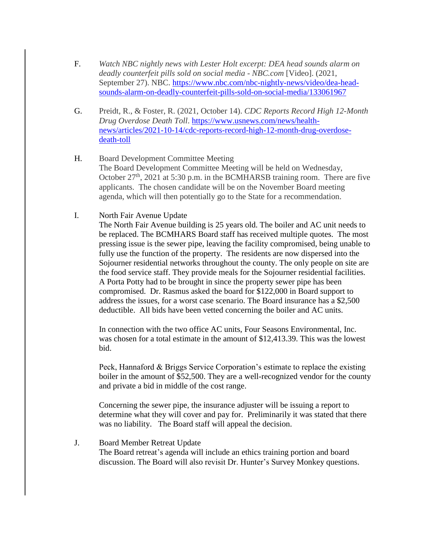- F. *Watch NBC nightly news with Lester Holt excerpt: DEA head sounds alarm on deadly counterfeit pills sold on social media - NBC.com* [Video]. (2021, September 27). NBC. [https://www.nbc.com/nbc-nightly-news/video/dea-head](https://www.nbc.com/nbc-nightly-news/video/dea-head-sounds-alarm-on-deadly-counterfeit-pills-sold-on-social-media/133061967)[sounds-alarm-on-deadly-counterfeit-pills-sold-on-social-media/133061967](https://www.nbc.com/nbc-nightly-news/video/dea-head-sounds-alarm-on-deadly-counterfeit-pills-sold-on-social-media/133061967)
- G. Preidt, R., & Foster, R. (2021, October 14). *CDC Reports Record High 12-Month Drug Overdose Death Toll*. [https://www.usnews.com/news/health](https://www.usnews.com/news/health-news/articles/2021-10-14/cdc-reports-record-high-12-month-drug-overdose-death-toll)[news/articles/2021-10-14/cdc-reports-record-high-12-month-drug-overdose](https://www.usnews.com/news/health-news/articles/2021-10-14/cdc-reports-record-high-12-month-drug-overdose-death-toll)[death-toll](https://www.usnews.com/news/health-news/articles/2021-10-14/cdc-reports-record-high-12-month-drug-overdose-death-toll)
- H. Board Development Committee Meeting The Board Development Committee Meeting will be held on Wednesday, October  $27<sup>th</sup>$ , 2021 at 5:30 p.m. in the BCMHARSB training room. There are five applicants. The chosen candidate will be on the November Board meeting agenda, which will then potentially go to the State for a recommendation.
- I. North Fair Avenue Update

The North Fair Avenue building is 25 years old. The boiler and AC unit needs to be replaced. The BCMHARS Board staff has received multiple quotes. The most pressing issue is the sewer pipe, leaving the facility compromised, being unable to fully use the function of the property. The residents are now dispersed into the Sojourner residential networks throughout the county. The only people on site are the food service staff. They provide meals for the Sojourner residential facilities. A Porta Potty had to be brought in since the property sewer pipe has been compromised. Dr. Rasmus asked the board for \$122,000 in Board support to address the issues, for a worst case scenario. The Board insurance has a \$2,500 deductible. All bids have been vetted concerning the boiler and AC units.

In connection with the two office AC units, Four Seasons Environmental, Inc. was chosen for a total estimate in the amount of \$12,413.39. This was the lowest bid.

Peck, Hannaford & Briggs Service Corporation's estimate to replace the existing boiler in the amount of \$52,500. They are a well-recognized vendor for the county and private a bid in middle of the cost range.

Concerning the sewer pipe, the insurance adjuster will be issuing a report to determine what they will cover and pay for. Preliminarily it was stated that there was no liability. The Board staff will appeal the decision.

#### J. Board Member Retreat Update

The Board retreat's agenda will include an ethics training portion and board discussion. The Board will also revisit Dr. Hunter's Survey Monkey questions.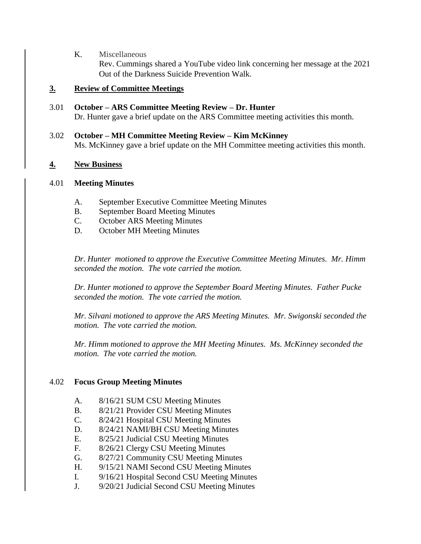K. Miscellaneous

Rev. Cummings shared a YouTube video link concerning her message at the 2021 Out of the Darkness Suicide Prevention Walk.

# **3. Review of Committee Meetings**

- 3.01 **October – ARS Committee Meeting Review – Dr. Hunter** Dr. Hunter gave a brief update on the ARS Committee meeting activities this month.
- 3.02 **October – MH Committee Meeting Review – Kim McKinney** Ms. McKinney gave a brief update on the MH Committee meeting activities this month.

# **4. New Business**

# 4.01 **Meeting Minutes**

- A. September Executive Committee Meeting Minutes
- B. September Board Meeting Minutes
- C. October ARS Meeting Minutes
- D. October MH Meeting Minutes

*Dr. Hunter motioned to approve the Executive Committee Meeting Minutes. Mr. Himm seconded the motion. The vote carried the motion.*

*Dr. Hunter motioned to approve the September Board Meeting Minutes. Father Pucke seconded the motion. The vote carried the motion.*

*Mr. Silvani motioned to approve the ARS Meeting Minutes. Mr. Swigonski seconded the motion. The vote carried the motion.*

*Mr. Himm motioned to approve the MH Meeting Minutes. Ms. McKinney seconded the motion. The vote carried the motion.* 

# 4.02 **Focus Group Meeting Minutes**

- A. 8/16/21 SUM CSU Meeting Minutes
- B. 8/21/21 Provider CSU Meeting Minutes
- C. 8/24/21 Hospital CSU Meeting Minutes
- D. 8/24/21 NAMI/BH CSU Meeting Minutes
- E. 8/25/21 Judicial CSU Meeting Minutes
- F. 8/26/21 Clergy CSU Meeting Minutes
- G. 8/27/21 Community CSU Meeting Minutes
- H. 9/15/21 NAMI Second CSU Meeting Minutes
- I. 9/16/21 Hospital Second CSU Meeting Minutes
- J. 9/20/21 Judicial Second CSU Meeting Minutes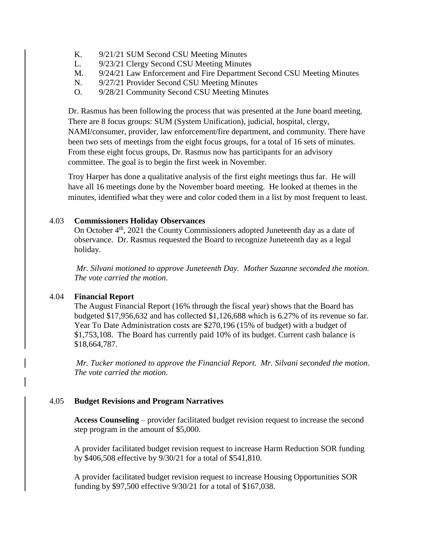- K. 9/21/21 SUM Second CSU Meeting Minutes
- L. 9/23/21 Clergy Second CSU Meeting Minutes
- M. 9/24/21 Law Enforcement and Fire Department Second CSU Meeting Minutes
- N. 9/27/21 Provider Second CSU Meeting Minutes
- O. 9/28/21 Community Second CSU Meeting Minutes

Dr. Rasmus has been following the process that was presented at the June board meeting. There are 8 focus groups: SUM (System Unification), judicial, hospital, clergy, NAMI/consumer, provider, law enforcement/fire department, and community. There have been two sets of meetings from the eight focus groups, for a total of 16 sets of minutes. From these eight focus groups, Dr. Rasmus now has participants for an advisory committee. The goal is to begin the first week in November.

Troy Harper has done a qualitative analysis of the first eight meetings thus far. He will have all 16 meetings done by the November board meeting. He looked at themes in the minutes, identified what they were and color coded them in a list by most frequent to least.

## 4.03 **Commissioners Holiday Observances**

On October 4<sup>th</sup>, 2021 the County Commissioners adopted Juneteenth day as a date of observance. Dr. Rasmus requested the Board to recognize Juneteenth day as a legal holiday.

*Mr. Silvani motioned to approve Juneteenth Day. Mother Suzanne seconded the motion. The vote carried the motion.*

### 4.04 **Financial Report**

The August Financial Report (16% through the fiscal year) shows that the Board has budgeted \$17,956,632 and has collected \$1,126,688 which is 6.27% of its revenue so far. Year To Date Administration costs are \$270,196 (15% of budget) with a budget of \$1,753,108. The Board has currently paid 10% of its budget. Current cash balance is \$18,664,787.

*Mr. Tucker motioned to approve the Financial Report. Mr. Silvani seconded the motion. The vote carried the motion.*

# 4.05 **Budget Revisions and Program Narratives**

**Access Counseling** – provider facilitated budget revision request to increase the second step program in the amount of \$5,000.

A provider facilitated budget revision request to increase Harm Reduction SOR funding by \$406,508 effective by 9/30/21 for a total of \$541,810.

A provider facilitated budget revision request to increase Housing Opportunities SOR funding by \$97,500 effective 9/30/21 for a total of \$167,038.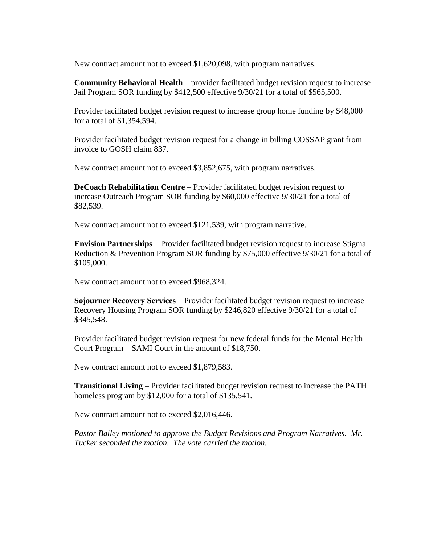New contract amount not to exceed \$1,620,098, with program narratives.

**Community Behavioral Health** – provider facilitated budget revision request to increase Jail Program SOR funding by \$412,500 effective 9/30/21 for a total of \$565,500.

Provider facilitated budget revision request to increase group home funding by \$48,000 for a total of \$1,354,594.

Provider facilitated budget revision request for a change in billing COSSAP grant from invoice to GOSH claim 837.

New contract amount not to exceed \$3,852,675, with program narratives.

**DeCoach Rehabilitation Centre** – Provider facilitated budget revision request to increase Outreach Program SOR funding by \$60,000 effective 9/30/21 for a total of \$82,539.

New contract amount not to exceed \$121,539, with program narrative.

**Envision Partnerships** – Provider facilitated budget revision request to increase Stigma Reduction & Prevention Program SOR funding by \$75,000 effective 9/30/21 for a total of \$105,000.

New contract amount not to exceed \$968,324.

**Sojourner Recovery Services** – Provider facilitated budget revision request to increase Recovery Housing Program SOR funding by \$246,820 effective 9/30/21 for a total of \$345,548.

Provider facilitated budget revision request for new federal funds for the Mental Health Court Program – SAMI Court in the amount of \$18,750.

New contract amount not to exceed \$1,879,583.

**Transitional Living** – Provider facilitated budget revision request to increase the PATH homeless program by \$12,000 for a total of \$135,541.

New contract amount not to exceed \$2,016,446.

*Pastor Bailey motioned to approve the Budget Revisions and Program Narratives. Mr. Tucker seconded the motion. The vote carried the motion.*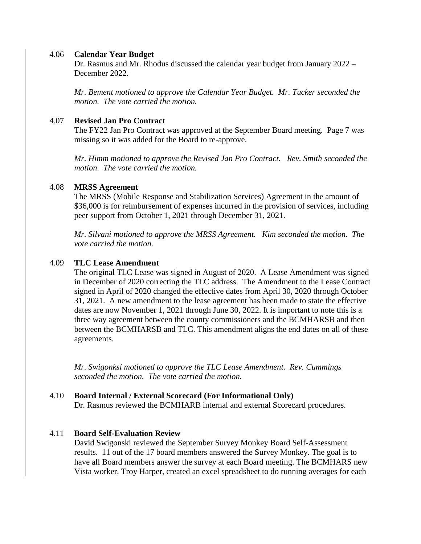#### 4.06 **Calendar Year Budget**

Dr. Rasmus and Mr. Rhodus discussed the calendar year budget from January 2022 – December 2022.

*Mr. Bement motioned to approve the Calendar Year Budget. Mr. Tucker seconded the motion. The vote carried the motion.*

#### 4.07 **Revised Jan Pro Contract**

The FY22 Jan Pro Contract was approved at the September Board meeting. Page 7 was missing so it was added for the Board to re-approve.

*Mr. Himm motioned to approve the Revised Jan Pro Contract. Rev. Smith seconded the motion. The vote carried the motion.*

#### 4.08 **MRSS Agreement**

The MRSS (Mobile Response and Stabilization Services) Agreement in the amount of \$36,000 is for reimbursement of expenses incurred in the provision of services, including peer support from October 1, 2021 through December 31, 2021.

*Mr. Silvani motioned to approve the MRSS Agreement. Kim seconded the motion. The vote carried the motion.*

#### 4.09 **TLC Lease Amendment**

The original TLC Lease was signed in August of 2020. A Lease Amendment was signed in December of 2020 correcting the TLC address. The Amendment to the Lease Contract signed in April of 2020 changed the effective dates from April 30, 2020 through October 31, 2021. A new amendment to the lease agreement has been made to state the effective dates are now November 1, 2021 through June 30, 2022. It is important to note this is a three way agreement between the county commissioners and the BCMHARSB and then between the BCMHARSB and TLC. This amendment aligns the end dates on all of these agreements.

*Mr. Swigonksi motioned to approve the TLC Lease Amendment. Rev. Cummings seconded the motion. The vote carried the motion.*

#### 4.10 **Board Internal / External Scorecard (For Informational Only)**

Dr. Rasmus reviewed the BCMHARB internal and external Scorecard procedures.

#### 4.11 **Board Self-Evaluation Review**

David Swigonski reviewed the September Survey Monkey Board Self-Assessment results. 11 out of the 17 board members answered the Survey Monkey. The goal is to have all Board members answer the survey at each Board meeting. The BCMHARS new Vista worker, Troy Harper, created an excel spreadsheet to do running averages for each